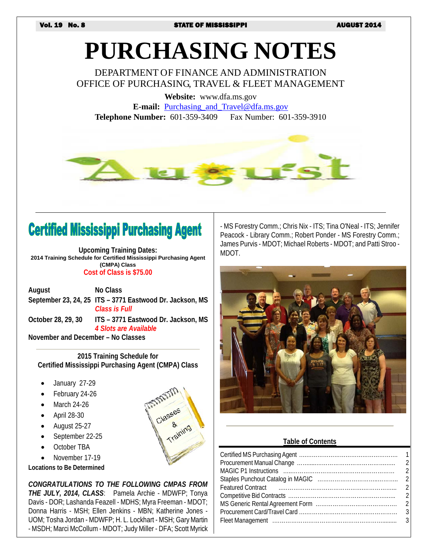# **PURCHASING NOTES**

DEPARTMENT OF FINANCE AND ADMINISTRATION OFFICE OF PURCHASING, TRAVEL & FLEET MANAGEMENT

**Website:** www.dfa.ms.gov **E-mail:** [Purchasing\\_and\\_Travel@dfa.ms.gov](mailto:Purchasing_and_Travel@dfa.ms.gov) **Telephone Number:** 601-359-3409 Fax Number: 601-359-3910



# **Certified Mississippi Purchasing Agent**

**Upcoming Training Dates: 2014 Training Schedule for Certified Mississippi Purchasing Agent (CMPA) Class Cost of Class is \$75.00**

**August No Class September 23, 24, 25 ITS – 3771 Eastwood Dr. Jackson, MS** *Class is Full* **October 28, 29, 30 ITS – 3771 Eastwood Dr. Jackson, MS** *4 Slots are Available* **November and December – No Classes**

**2015 Training Schedule for Certified Mississippi Purchasing Agent (CMPA) Class**

& <sub>hing</sub>

- January 27-29
- February 24-26
- March 24-26
- April 28-30
- August 25-27
- September 22-25
- October TBA
- November 17-19

**Locations to Be Determined**

*CONGRATULATIONS TO THE FOLLOWING CMPAS FROM THE JULY, 2014, CLASS*: Pamela Archie - MDWFP; Tonya Davis - DOR; Lashanda Feazell - MDHS; Myra Freeman - MDOT; Donna Harris - MSH; Ellen Jenkins - MBN; Katherine Jones - UOM; Tosha Jordan - MDWFP; H. L. Lockhart - MSH; Gary Martin - MSDH; Marci McCollum - MDOT; Judy Miller - DFA; Scott Myrick - MS Forestry Comm.; Chris Nix - ITS; Tina O'Neal - ITS; Jennifer Peacock - Library Comm.; Robert Ponder - MS Forestry Comm.; James Purvis - MDOT; Michael Roberts - MDOT; and Patti Stroo - MDOT.



#### **Table of Contents**

| Featured Contract (Educational Contract) 2 |  |
|--------------------------------------------|--|
|                                            |  |
|                                            |  |
|                                            |  |
|                                            |  |
|                                            |  |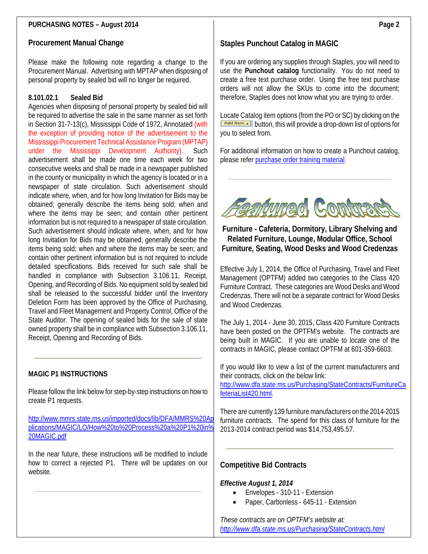## **PURCHASING NOTES – August 2014**

#### **Procurement Manual Change**

Please make the following note regarding a change to the Procurement Manual. Advertising with MPTAP when disposing of personal property by sealed bid will no longer be required.

#### **8.101.02.1 Sealed Bid**

Agencies when disposing of personal property by sealed bid will be required to advertise the sale in the same manner as set forth in Section 31-7-13(c), Mississippi Code of 1972, Annotated (with the exception of providing notice of the advertisement to the Mississippi Procurement Technical Assistance Program (MPTAP) under the Mississippi Development Authority). Such advertisement shall be made one time each week for two consecutive weeks and shall be made in a newspaper published in the county or municipality in which the agency is located or in a newspaper of state circulation. Such advertisement should indicate where, when, and for how long Invitation for Bids may be obtained; generally describe the items being sold; when and where the items may be seen; and contain other pertinent information but is not required to a newspaper of state circulation. Such advertisement should indicate where, when, and for how long Invitation for Bids may be obtained; generally describe the items being sold; when and where the items may be seen; and contain other pertinent information but is not required to include detailed specifications. Bids received for such sale shall be handled in compliance with Subsection 3.106.11, Receipt, Opening, and Recording of Bids. No equipment sold by sealed bid shall be released to the successful bidder until the Inventory Deletion Form has been approved by the Office of Purchasing, Travel and Fleet Management and Property Control, Office of the State Auditor. The opening of sealed bids for the sale of state owned property shall be in compliance with Subsection 3.106.11, Receipt, Opening and Recording of Bids.

## **MAGIC P1 INSTRUCTIONS**

Please follow the link below for step-by-step instructions on how to create P1 requests.

[http://www.mmrs.state.ms.us/imported/docs/lib/DFA/MMRS%20Ap](http://www.mmrs.state.ms.us/imported/docs/lib/DFA/MMRS%20Applications/MAGIC/LO/How%20to%20Process%20a%20P1%20in%20MAGIC.pdf) [plications/MAGIC/LO/How%20to%20Process%20a%20P1%20in%](http://www.mmrs.state.ms.us/imported/docs/lib/DFA/MMRS%20Applications/MAGIC/LO/How%20to%20Process%20a%20P1%20in%20MAGIC.pdf) [20MAGIC.pdf](http://www.mmrs.state.ms.us/imported/docs/lib/DFA/MMRS%20Applications/MAGIC/LO/How%20to%20Process%20a%20P1%20in%20MAGIC.pdf)

In the near future, these instructions will be modified to include how to correct a rejected P1. There will be updates on our website.

# **Staples Punchout Catalog in MAGIC**

If you are ordering any supplies through Staples, you will need to use the **Punchout catalog** functionality. You do not need to create a free text purchase order. Using the free text purchase orders will not allow the SKUs to come into the document; therefore, Staples does not know what you are trying to order.

Locate Catalog item options (from the PO or SC) by clicking on the **Add Item -** button, this will provide a drop-down list of options for you to select from.

For additional information on how to create a Punchout catalog, please refer [purchase order training material.](http://uperform.magic.ms.gov/gm/folder-1.11.10176)



**Furniture - Cafeteria, Dormitory, Library Shelving and Related Furniture, Lounge, Modular Office, School Furniture, Seating, Wood Desks and Wood Credenzas**

Effective July 1, 2014, the Office of Purchasing, Travel and Fleet Management (OPTFM) added two categories to the Class 420 Furniture Contract. These categories are Wood Desks and Wood Credenzas. There will not be a separate contract for Wood Desks and Wood Credenzas.

The July 1, 2014 - June 30, 2015, Class 420 Furniture Contracts have been posted on the OPTFM's website. The contracts are being built in MAGIC. If you are unable to locate one of the contracts in MAGIC, please contact OPTFM at 601-359-6603.

If you would like to view a list of the current manufacturers and their contracts, click on the below link:

[http://www.dfa.state.ms.us/Purchasing/StateContracts/FurnitureCa](http://www.dfa.state.ms.us/Purchasing/StateContracts/FurnitureCafeteriaList420.html) [feteriaList420.html.](http://www.dfa.state.ms.us/Purchasing/StateContracts/FurnitureCafeteriaList420.html)

There are currently 139 furniture manufacturers on the 2014-2015 furniture contracts. The spend for this class of furniture for the 2013-2014 contract period was \$14,753,495.57.

## **Competitive Bid Contracts**

*Effective August 1, 2014*

- Envelopes 310-11 Extension
- Paper, Carbonless 645-11 Extension

*These contracts are on OPTFM's website at: <http://www.dfa.state.ms.us/Purchasing/StateContracts.html>*